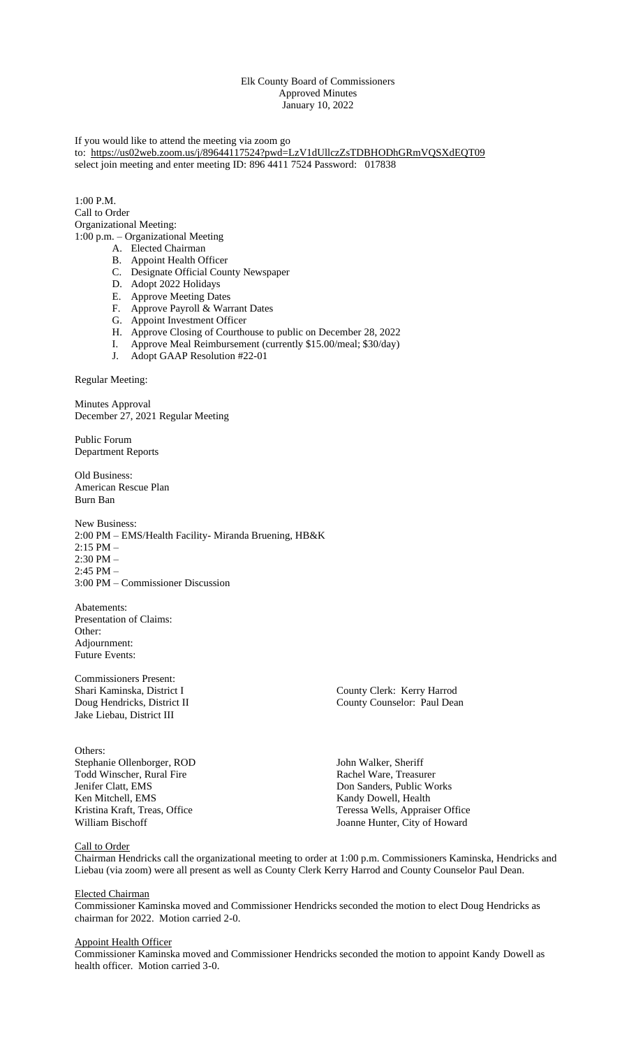## Elk County Board of Commissioners Approved Minutes January 10, 2022

If you would like to attend the meeting via zoom go to: <https://us02web.zoom.us/j/89644117524?pwd=LzV1dUllczZsTDBHODhGRmVQSXdEQT09> select join meeting and enter meeting ID: 896 4411 7524 Password: 017838

 $1:00 \text{ P M}$ Call to Order Organizational Meeting: 1:00 p.m. – Organizational Meeting

- A. Elected Chairman
- B. Appoint Health Officer
- C. Designate Official County Newspaper
- D. Adopt 2022 Holidays
- E. Approve Meeting Dates
- F. Approve Payroll & Warrant Dates
- G. Appoint Investment Officer
- H. Approve Closing of Courthouse to public on December 28, 2022
- I. Approve Meal Reimbursement (currently \$15.00/meal; \$30/day)
- J. Adopt GAAP Resolution #22-01

Regular Meeting:

Minutes Approval December 27, 2021 Regular Meeting

Public Forum Department Reports

Old Business: American Rescue Plan Burn Ban

New Business: 2:00 PM – EMS/Health Facility- Miranda Bruening, HB&K  $2:15$  PM  $-$ 2:30 PM – 2:45 PM – 3:00 PM – Commissioner Discussion

Abatements: Presentation of Claims: Other: Adjournment: Future Events:

Commissioners Present: Jake Liebau, District III

Others: Stephanie Ollenborger, ROD John Walker, Sheriff Todd Winscher, Rural Fire **Rachel Ware, Treasurer**<br> **Rachel Ware, Treasurer**<br> **Don Sanders, Public We** Jenifer Clatt, EMS<br>
Ken Mitchell, EMS<br>
Kandy Dowell, Health<br>
Kandy Dowell, Health Ken Mitchell, EMS<br>
Kandy Dowell, Health<br>
Kristina Kraft, Treas, Office<br>
Teressa Wells, Apprais

Shari Kaminska, District I County Clerk: Kerry Harrod<br>
Doug Hendricks, District II County County Counter: Paul Dear County Counselor: Paul Dean

Kristina Kraft, Treas, Office<br>
William Bischoff<br>
William Bischoff<br>
Teressa Wells, Appraiser Office<br>
Joanne Hunter, City of Howard Joanne Hunter, City of Howard

#### Call to Order

Chairman Hendricks call the organizational meeting to order at 1:00 p.m. Commissioners Kaminska, Hendricks and Liebau (via zoom) were all present as well as County Clerk Kerry Harrod and County Counselor Paul Dean.

### Elected Chairman

Commissioner Kaminska moved and Commissioner Hendricks seconded the motion to elect Doug Hendricks as chairman for 2022. Motion carried 2-0.

#### Appoint Health Officer

Commissioner Kaminska moved and Commissioner Hendricks seconded the motion to appoint Kandy Dowell as health officer. Motion carried 3-0.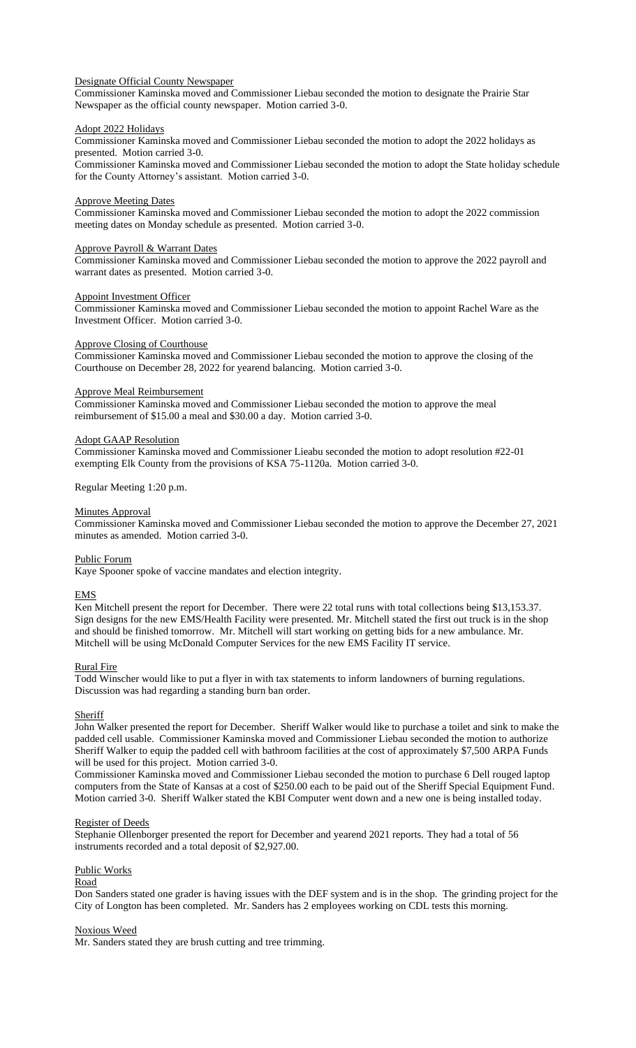## Designate Official County Newspaper

Commissioner Kaminska moved and Commissioner Liebau seconded the motion to designate the Prairie Star Newspaper as the official county newspaper. Motion carried 3-0.

#### Adopt 2022 Holidays

Commissioner Kaminska moved and Commissioner Liebau seconded the motion to adopt the 2022 holidays as presented. Motion carried 3-0.

Commissioner Kaminska moved and Commissioner Liebau seconded the motion to adopt the State holiday schedule for the County Attorney's assistant. Motion carried 3-0.

#### Approve Meeting Dates

Commissioner Kaminska moved and Commissioner Liebau seconded the motion to adopt the 2022 commission meeting dates on Monday schedule as presented. Motion carried 3-0.

# Approve Payroll & Warrant Dates

Commissioner Kaminska moved and Commissioner Liebau seconded the motion to approve the 2022 payroll and warrant dates as presented. Motion carried 3-0.

## Appoint Investment Officer

Commissioner Kaminska moved and Commissioner Liebau seconded the motion to appoint Rachel Ware as the Investment Officer. Motion carried 3-0.

### Approve Closing of Courthouse

Commissioner Kaminska moved and Commissioner Liebau seconded the motion to approve the closing of the Courthouse on December 28, 2022 for yearend balancing. Motion carried 3-0.

## Approve Meal Reimbursement

Commissioner Kaminska moved and Commissioner Liebau seconded the motion to approve the meal reimbursement of \$15.00 a meal and \$30.00 a day. Motion carried 3-0.

### Adopt GAAP Resolution

Commissioner Kaminska moved and Commissioner Lieabu seconded the motion to adopt resolution #22-01 exempting Elk County from the provisions of KSA 75-1120a. Motion carried 3-0.

Regular Meeting 1:20 p.m.

### **Minutes Approval**

Commissioner Kaminska moved and Commissioner Liebau seconded the motion to approve the December 27, 2021 minutes as amended. Motion carried 3-0.

#### Public Forum

Kaye Spooner spoke of vaccine mandates and election integrity.

## EMS

Ken Mitchell present the report for December. There were 22 total runs with total collections being \$13,153.37. Sign designs for the new EMS/Health Facility were presented. Mr. Mitchell stated the first out truck is in the shop and should be finished tomorrow. Mr. Mitchell will start working on getting bids for a new ambulance. Mr. Mitchell will be using McDonald Computer Services for the new EMS Facility IT service.

## Rural Fire

Todd Winscher would like to put a flyer in with tax statements to inform landowners of burning regulations. Discussion was had regarding a standing burn ban order.

## **Sheriff**

John Walker presented the report for December. Sheriff Walker would like to purchase a toilet and sink to make the padded cell usable. Commissioner Kaminska moved and Commissioner Liebau seconded the motion to authorize Sheriff Walker to equip the padded cell with bathroom facilities at the cost of approximately \$7,500 ARPA Funds will be used for this project. Motion carried 3-0.

Commissioner Kaminska moved and Commissioner Liebau seconded the motion to purchase 6 Dell rouged laptop computers from the State of Kansas at a cost of \$250.00 each to be paid out of the Sheriff Special Equipment Fund. Motion carried 3-0. Sheriff Walker stated the KBI Computer went down and a new one is being installed today.

#### Register of Deeds

Stephanie Ollenborger presented the report for December and yearend 2021 reports. They had a total of 56 instruments recorded and a total deposit of \$2,927.00.

#### Public Works

## Road

Don Sanders stated one grader is having issues with the DEF system and is in the shop. The grinding project for the City of Longton has been completed. Mr. Sanders has 2 employees working on CDL tests this morning.

## Noxious Weed

Mr. Sanders stated they are brush cutting and tree trimming.